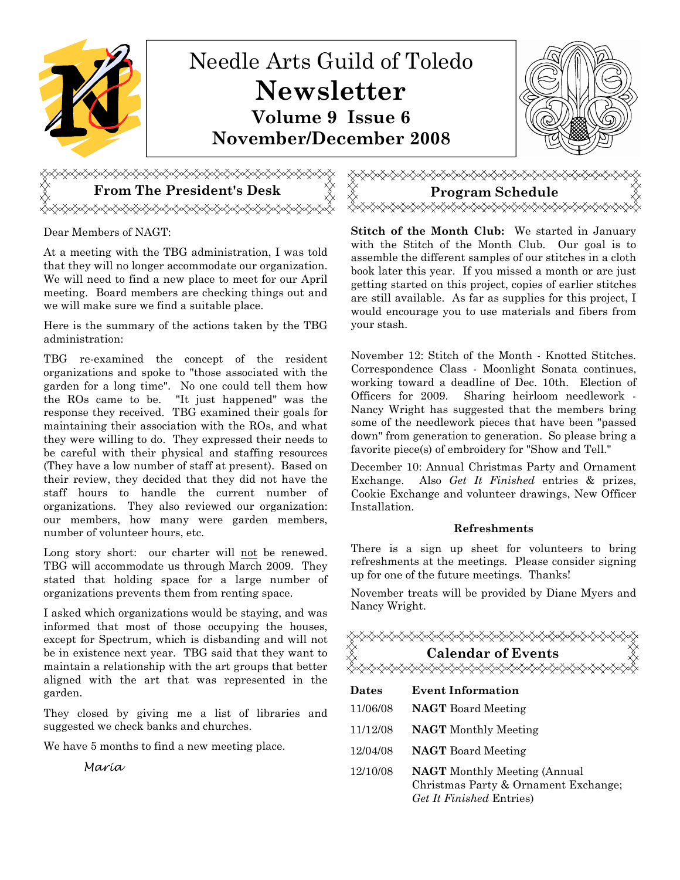

## From The President's Desk <del></del>

Dear Members of NAGT:

At a meeting with the TBG administration, I was told that they will no longer accommodate our organization. We will need to find a new place to meet for our April meeting. Board members are checking things out and we will make sure we find a suitable place.

Here is the summary of the actions taken by the TBG administration:

TBG re-examined the concept of the resident organizations and spoke to "those associated with the garden for a long time". No one could tell them how the ROs came to be. "It just happened" was the response they received. TBG examined their goals for maintaining their association with the ROs, and what they were willing to do. They expressed their needs to be careful with their physical and staffing resources (They have a low number of staff at present). Based on their review, they decided that they did not have the staff hours to handle the current number of organizations. They also reviewed our organization: our members, how many were garden members, number of volunteer hours, etc.

Long story short: our charter will not be renewed. TBG will accommodate us through March 2009. They stated that holding space for a large number of organizations prevents them from renting space.

I asked which organizations would be staying, and was informed that most of those occupying the houses, except for Spectrum, which is disbanding and will not be in existence next year. TBG said that they want to maintain a relationship with the art groups that better aligned with the art that was represented in the garden.

They closed by giving me a list of libraries and suggested we check banks and churches.

We have 5 months to find a new meeting place.

Maria



Stitch of the Month Club: We started in January with the Stitch of the Month Club. Our goal is to assemble the different samples of our stitches in a cloth book later this year. If you missed a month or are just getting started on this project, copies of earlier stitches are still available. As far as supplies for this project, I would encourage you to use materials and fibers from your stash.

November 12: Stitch of the Month - Knotted Stitches. Correspondence Class - Moonlight Sonata continues, working toward a deadline of Dec. 10th. Election of Officers for 2009. Sharing heirloom needlework - Nancy Wright has suggested that the members bring some of the needlework pieces that have been "passed down" from generation to generation. So please bring a favorite piece(s) of embroidery for "Show and Tell."

December 10: Annual Christmas Party and Ornament Exchange. Also Get It Finished entries & prizes, Cookie Exchange and volunteer drawings, New Officer Installation.

## Refreshments

There is a sign up sheet for volunteers to bring refreshments at the meetings. Please consider signing up for one of the future meetings. Thanks!

November treats will be provided by Diane Myers and Nancy Wright.

| <b><sub><sub></sub><sub></sub><sub></sub><sub></sub><del></del></sub></b><br><b>Calendar of Events</b> |                                                                                                         |
|--------------------------------------------------------------------------------------------------------|---------------------------------------------------------------------------------------------------------|
| Dates                                                                                                  | Event Information                                                                                       |
| 11/06/08                                                                                               | <b>NAGT</b> Board Meeting                                                                               |
| 11/12/08                                                                                               | <b>NAGT</b> Monthly Meeting                                                                             |
| 12/04/08                                                                                               | <b>NAGT</b> Board Meeting                                                                               |
| 12/10/08                                                                                               | <b>NAGT</b> Monthly Meeting (Annual<br>Christmas Party & Ornament Exchange;<br>Get It Finished Entries) |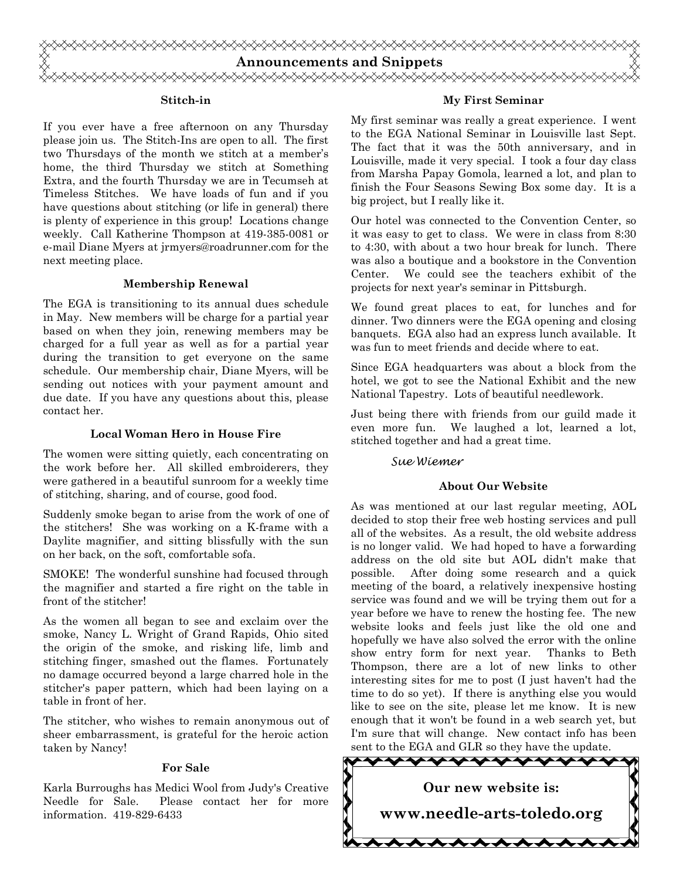

#### Stitch-in

If you ever have a free afternoon on any Thursday please join us. The Stitch-Ins are open to all. The first two Thursdays of the month we stitch at a member's home, the third Thursday we stitch at Something Extra, and the fourth Thursday we are in Tecumseh at Timeless Stitches. We have loads of fun and if you have questions about stitching (or life in general) there is plenty of experience in this group! Locations change weekly. Call Katherine Thompson at 419-385-0081 or e-mail Diane Myers at jrmyers@roadrunner.com for the next meeting place.

#### Membership Renewal

The EGA is transitioning to its annual dues schedule in May. New members will be charge for a partial year based on when they join, renewing members may be charged for a full year as well as for a partial year during the transition to get everyone on the same schedule. Our membership chair, Diane Myers, will be sending out notices with your payment amount and due date. If you have any questions about this, please contact her.

#### Local Woman Hero in House Fire

The women were sitting quietly, each concentrating on the work before her. All skilled embroiderers, they were gathered in a beautiful sunroom for a weekly time of stitching, sharing, and of course, good food.

Suddenly smoke began to arise from the work of one of the stitchers! She was working on a K-frame with a Daylite magnifier, and sitting blissfully with the sun on her back, on the soft, comfortable sofa.

SMOKE! The wonderful sunshine had focused through the magnifier and started a fire right on the table in front of the stitcher!

As the women all began to see and exclaim over the smoke, Nancy L. Wright of Grand Rapids, Ohio sited the origin of the smoke, and risking life, limb and stitching finger, smashed out the flames. Fortunately no damage occurred beyond a large charred hole in the stitcher's paper pattern, which had been laying on a table in front of her.

The stitcher, who wishes to remain anonymous out of sheer embarrassment, is grateful for the heroic action taken by Nancy!

#### For Sale

Karla Burroughs has Medici Wool from Judy's Creative Needle for Sale. Please contact her for more information. 419-829-6433

#### My First Seminar

My first seminar was really a great experience. I went to the EGA National Seminar in Louisville last Sept. The fact that it was the 50th anniversary, and in Louisville, made it very special. I took a four day class from Marsha Papay Gomola, learned a lot, and plan to finish the Four Seasons Sewing Box some day. It is a big project, but I really like it.

Our hotel was connected to the Convention Center, so it was easy to get to class. We were in class from 8:30 to 4:30, with about a two hour break for lunch. There was also a boutique and a bookstore in the Convention Center. We could see the teachers exhibit of the projects for next year's seminar in Pittsburgh.

We found great places to eat, for lunches and for dinner. Two dinners were the EGA opening and closing banquets. EGA also had an express lunch available. It was fun to meet friends and decide where to eat.

Since EGA headquarters was about a block from the hotel, we got to see the National Exhibit and the new National Tapestry. Lots of beautiful needlework.

Just being there with friends from our guild made it even more fun. We laughed a lot, learned a lot, stitched together and had a great time.

#### Sue Wiemer

#### About Our Website

As was mentioned at our last regular meeting, AOL decided to stop their free web hosting services and pull all of the websites. As a result, the old website address is no longer valid. We had hoped to have a forwarding address on the old site but AOL didn't make that possible. After doing some research and a quick meeting of the board, a relatively inexpensive hosting service was found and we will be trying them out for a year before we have to renew the hosting fee. The new website looks and feels just like the old one and hopefully we have also solved the error with the online show entry form for next year. Thanks to Beth Thompson, there are a lot of new links to other interesting sites for me to post (I just haven't had the time to do so yet). If there is anything else you would like to see on the site, please let me know. It is new enough that it won't be found in a web search yet, but I'm sure that will change. New contact info has been sent to the EGA and GLR so they have the update.

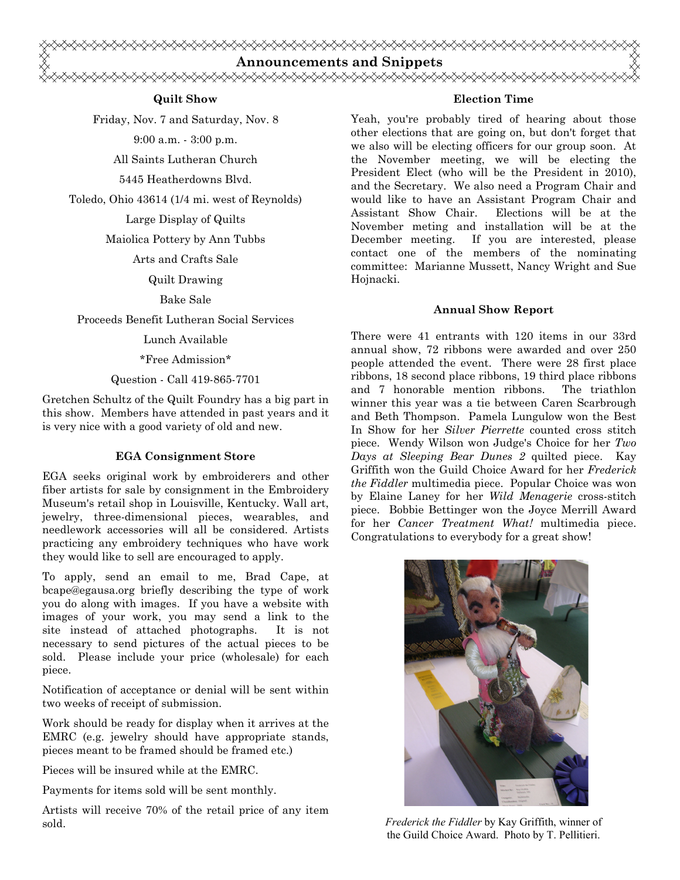

### Quilt Show

Friday, Nov. 7 and Saturday, Nov. 8

9:00 a.m. - 3:00 p.m.

All Saints Lutheran Church

5445 Heatherdowns Blvd.

Toledo, Ohio 43614 (1/4 mi. west of Reynolds)

Large Display of Quilts

Maiolica Pottery by Ann Tubbs

Arts and Crafts Sale

Quilt Drawing

Bake Sale

Proceeds Benefit Lutheran Social Services

Lunch Available

\*Free Admission\*

Question - Call 419-865-7701

Gretchen Schultz of the Quilt Foundry has a big part in this show. Members have attended in past years and it is very nice with a good variety of old and new.

## EGA Consignment Store

EGA seeks original work by embroiderers and other fiber artists for sale by consignment in the Embroidery Museum's retail shop in Louisville, Kentucky. Wall art, jewelry, three-dimensional pieces, wearables, and needlework accessories will all be considered. Artists practicing any embroidery techniques who have work they would like to sell are encouraged to apply.

To apply, send an email to me, Brad Cape, at bcape@egausa.org briefly describing the type of work you do along with images. If you have a website with images of your work, you may send a link to the site instead of attached photographs. It is not necessary to send pictures of the actual pieces to be sold. Please include your price (wholesale) for each piece.

Notification of acceptance or denial will be sent within two weeks of receipt of submission.

Work should be ready for display when it arrives at the EMRC (e.g. jewelry should have appropriate stands, pieces meant to be framed should be framed etc.)

Pieces will be insured while at the EMRC.

Payments for items sold will be sent monthly.

Artists will receive 70% of the retail price of any item sold.

### Election Time

Yeah, you're probably tired of hearing about those other elections that are going on, but don't forget that we also will be electing officers for our group soon. At the November meeting, we will be electing the President Elect (who will be the President in 2010), and the Secretary. We also need a Program Chair and would like to have an Assistant Program Chair and Assistant Show Chair. Elections will be at the November meting and installation will be at the December meeting. If you are interested, please contact one of the members of the nominating committee: Marianne Mussett, Nancy Wright and Sue Hojnacki.

## Annual Show Report

There were 41 entrants with 120 items in our 33rd annual show, 72 ribbons were awarded and over 250 people attended the event. There were 28 first place ribbons, 18 second place ribbons, 19 third place ribbons and 7 honorable mention ribbons. The triathlon winner this year was a tie between Caren Scarbrough and Beth Thompson. Pamela Lungulow won the Best In Show for her Silver Pierrette counted cross stitch piece. Wendy Wilson won Judge's Choice for her Two Days at Sleeping Bear Dunes 2 quilted piece. Kay Griffith won the Guild Choice Award for her Frederick the Fiddler multimedia piece. Popular Choice was won by Elaine Laney for her Wild Menagerie cross-stitch piece. Bobbie Bettinger won the Joyce Merrill Award for her Cancer Treatment What! multimedia piece. Congratulations to everybody for a great show!



Frederick the Fiddler by Kay Griffith, winner of the Guild Choice Award. Photo by T. Pellitieri.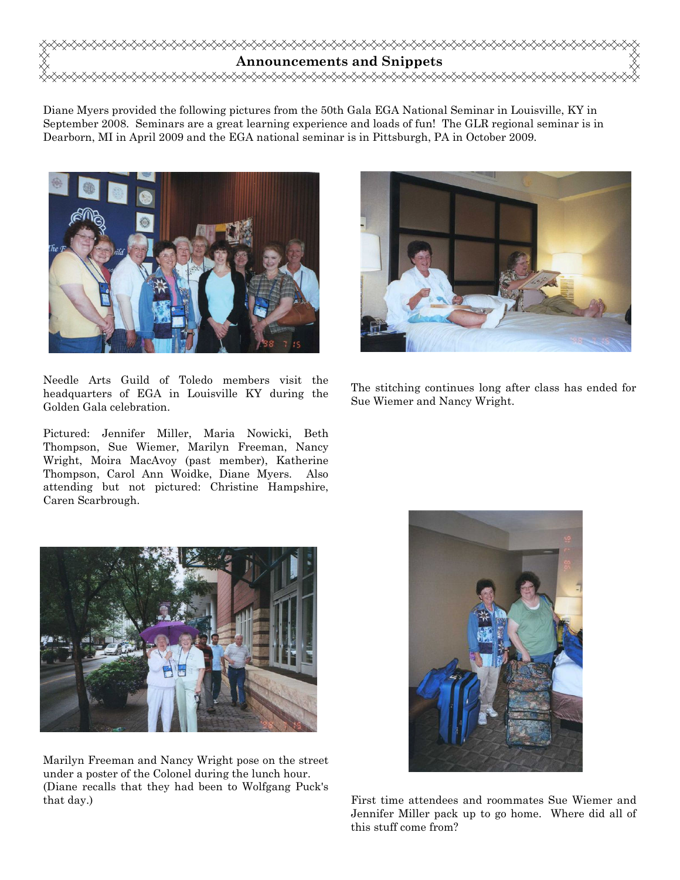

Diane Myers provided the following pictures from the 50th Gala EGA National Seminar in Louisville, KY in September 2008. Seminars are a great learning experience and loads of fun! The GLR regional seminar is in Dearborn, MI in April 2009 and the EGA national seminar is in Pittsburgh, PA in October 2009.



Needle Arts Guild of Toledo members visit the headquarters of EGA in Louisville KY during the Golden Gala celebration.

Pictured: Jennifer Miller, Maria Nowicki, Beth Thompson, Sue Wiemer, Marilyn Freeman, Nancy Wright, Moira MacAvoy (past member), Katherine Thompson, Carol Ann Woidke, Diane Myers. Also attending but not pictured: Christine Hampshire, Caren Scarbrough.



The stitching continues long after class has ended for Sue Wiemer and Nancy Wright.



Marilyn Freeman and Nancy Wright pose on the street under a poster of the Colonel during the lunch hour. (Diane recalls that they had been to Wolfgang Puck's that day.)



First time attendees and roommates Sue Wiemer and Jennifer Miller pack up to go home. Where did all of this stuff come from?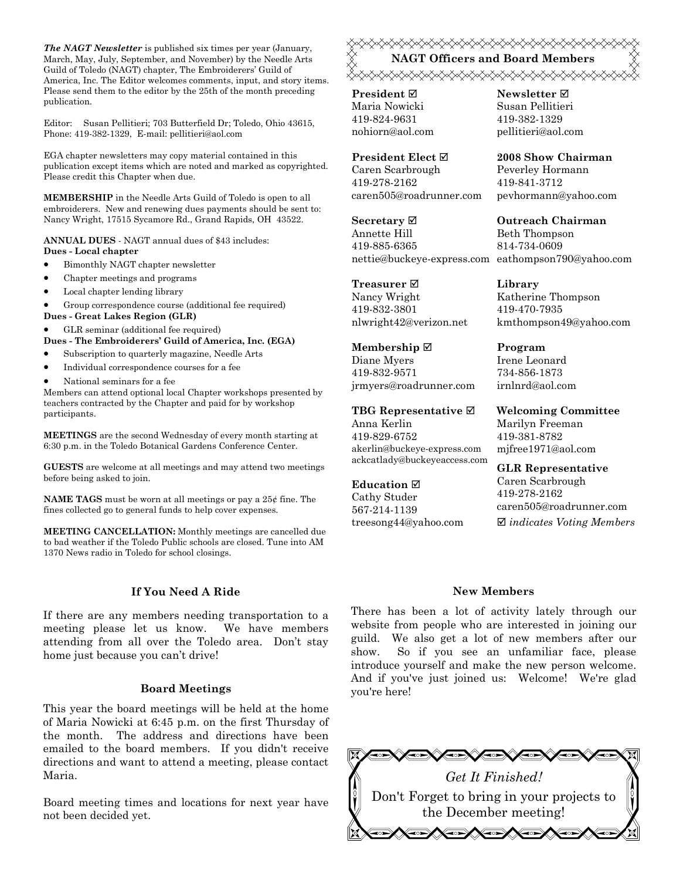The NAGT Newsletter is published six times per year (January, March, May, July, September, and November) by the Needle Arts Guild of Toledo (NAGT) chapter, The Embroiderers' Guild of America, Inc. The Editor welcomes comments, input, and story items. Please send them to the editor by the 25th of the month preceding publication.

Editor: Susan Pellitieri; 703 Butterfield Dr; Toledo, Ohio 43615, Phone: 419-382-1329, E-mail: pellitieri@aol.com

EGA chapter newsletters may copy material contained in this publication except items which are noted and marked as copyrighted. Please credit this Chapter when due.

MEMBERSHIP in the Needle Arts Guild of Toledo is open to all embroiderers. New and renewing dues payments should be sent to: Nancy Wright, 17515 Sycamore Rd., Grand Rapids, OH 43522.

ANNUAL DUES - NAGT annual dues of \$43 includes: Dues - Local chapter

- Bimonthly NAGT chapter newsletter
- Chapter meetings and programs
- Local chapter lending library

• Group correspondence course (additional fee required)

Dues - Great Lakes Region (GLR)

• GLR seminar (additional fee required)

Dues - The Embroiderers' Guild of America, Inc. (EGA)

- Subscription to quarterly magazine, Needle Arts
- Individual correspondence courses for a fee
- National seminars for a fee

Members can attend optional local Chapter workshops presented by teachers contracted by the Chapter and paid for by workshop participants.

MEETINGS are the second Wednesday of every month starting at 6:30 p.m. in the Toledo Botanical Gardens Conference Center.

GUESTS are welcome at all meetings and may attend two meetings before being asked to join.

**NAME TAGS** must be worn at all meetings or pay a  $25¢$  fine. The fines collected go to general funds to help cover expenses.

MEETING CANCELLATION: Monthly meetings are cancelled due to bad weather if the Toledo Public schools are closed. Tune into AM 1370 News radio in Toledo for school closings.

#### If You Need A Ride

If there are any members needing transportation to a meeting please let us know. We have members attending from all over the Toledo area. Don't stay home just because you can't drive!

#### Board Meetings

This year the board meetings will be held at the home of Maria Nowicki at 6:45 p.m. on the first Thursday of the month. The address and directions have been emailed to the board members. If you didn't receive directions and want to attend a meeting, please contact Maria.

Board meeting times and locations for next year have not been decided yet.

## NAGT Officers and Board Members <sub></sup></sup></sub>

**President** ⊠ Maria Nowicki 419-824-9631 nohiorn@aol.com

President Elect Caren Scarbrough 419-278-2162 caren505@roadrunner.com

Secretary **Ø** Annette Hill 419-885-6365 nettie@buckeye-express.com eathompson790@yahoo.com

Treasurer **⊠** Nancy Wright 419-832-3801 nlwright42@verizon.net

Membership ⊠ Diane Myers 419-832-9571 jrmyers@roadrunner.com

TBG Representative  $□$ Anna Kerlin 419-829-6752 akerlin@buckeye-express.com ackcatlady@buckeyeaccess.com

#### Education  $\boxtimes$

Cathy Studer 567-214-1139 treesong44@yahoo.com Newsletter **Ø** Susan Pellitieri 419-382-1329 pellitieri@aol.com

2008 Show Chairman Peverley Hormann 419-841-3712 pevhormann@yahoo.com

Outreach Chairman Beth Thompson 814-734-0609

Library Katherine Thompson 419-470-7935 kmthompson49@yahoo.com

Program Irene Leonard 734-856-1873 irnlnrd@aol.com

Welcoming Committee Marilyn Freeman 419-381-8782 mjfree1971@aol.com

GLR Representative Caren Scarbrough 419-278-2162 caren505@roadrunner.com  $\boxtimes$  indicates Voting Members

#### New Members

There has been a lot of activity lately through our website from people who are interested in joining our guild. We also get a lot of new members after our show. So if you see an unfamiliar face, please introduce yourself and make the new person welcome. And if you've just joined us: Welcome! We're glad you're here!